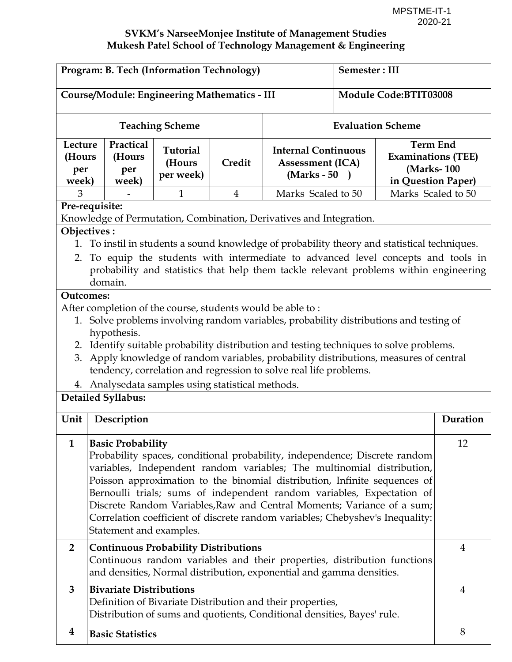| Program: B. Tech (Information Technology)                                                                                                            |                                        |                | Semester: III                                                        |  |                          |                                                            |  |
|------------------------------------------------------------------------------------------------------------------------------------------------------|----------------------------------------|----------------|----------------------------------------------------------------------|--|--------------------------|------------------------------------------------------------|--|
| <b>Course/Module: Engineering Mathematics - III</b>                                                                                                  |                                        |                | Module Code:BTIT03008                                                |  |                          |                                                            |  |
| <b>Teaching Scheme</b>                                                                                                                               |                                        |                |                                                                      |  | <b>Evaluation Scheme</b> |                                                            |  |
| Practical<br>Lecture<br>(Hours<br>(Hours<br>per<br>per<br>week)<br>week)                                                                             | <b>Tutorial</b><br>(Hours<br>per week) | Credit         | <b>Internal Continuous</b><br><b>Assessment (ICA)</b><br>(Marks - 50 |  | in Question Paper)       | <b>Term End</b><br><b>Examinations (TEE)</b><br>(Marks-100 |  |
| 3                                                                                                                                                    | 1                                      | $\overline{4}$ | Marks Scaled to 50                                                   |  | Marks Scaled to 50       |                                                            |  |
| Pre-requisite:                                                                                                                                       |                                        |                |                                                                      |  |                          |                                                            |  |
| Knowledge of Permutation, Combination, Derivatives and Integration.                                                                                  |                                        |                |                                                                      |  |                          |                                                            |  |
| Objectives:                                                                                                                                          |                                        |                |                                                                      |  |                          |                                                            |  |
| 1. To instil in students a sound knowledge of probability theory and statistical techniques.                                                         |                                        |                |                                                                      |  |                          |                                                            |  |
| To equip the students with intermediate to advanced level concepts and tools in<br>2.                                                                |                                        |                |                                                                      |  |                          |                                                            |  |
| probability and statistics that help them tackle relevant problems within engineering                                                                |                                        |                |                                                                      |  |                          |                                                            |  |
| domain.                                                                                                                                              |                                        |                |                                                                      |  |                          |                                                            |  |
| <b>Outcomes:</b>                                                                                                                                     |                                        |                |                                                                      |  |                          |                                                            |  |
| After completion of the course, students would be able to:<br>1. Solve problems involving random variables, probability distributions and testing of |                                        |                |                                                                      |  |                          |                                                            |  |
| hypothesis.                                                                                                                                          |                                        |                |                                                                      |  |                          |                                                            |  |
| 2. Identify suitable probability distribution and testing techniques to solve problems.                                                              |                                        |                |                                                                      |  |                          |                                                            |  |
| Apply knowledge of random variables, probability distributions, measures of central<br>3.                                                            |                                        |                |                                                                      |  |                          |                                                            |  |
| tendency, correlation and regression to solve real life problems.                                                                                    |                                        |                |                                                                      |  |                          |                                                            |  |
| 4. Analysedata samples using statistical methods.                                                                                                    |                                        |                |                                                                      |  |                          |                                                            |  |
| Detailed Syllabus:                                                                                                                                   |                                        |                |                                                                      |  |                          |                                                            |  |
|                                                                                                                                                      |                                        |                |                                                                      |  |                          |                                                            |  |
| Description<br>Unit                                                                                                                                  |                                        |                |                                                                      |  |                          | Duration                                                   |  |
| $\mathbf{1}$<br><b>Basic Probability</b>                                                                                                             |                                        |                |                                                                      |  |                          | 12                                                         |  |
| Probability spaces, conditional probability, independence; Discrete random                                                                           |                                        |                |                                                                      |  |                          |                                                            |  |
| variables, Independent random variables; The multinomial distribution,                                                                               |                                        |                |                                                                      |  |                          |                                                            |  |
| Poisson approximation to the binomial distribution, Infinite sequences of                                                                            |                                        |                |                                                                      |  |                          |                                                            |  |
| Bernoulli trials; sums of independent random variables, Expectation of                                                                               |                                        |                |                                                                      |  |                          |                                                            |  |
| Discrete Random Variables, Raw and Central Moments; Variance of a sum;                                                                               |                                        |                |                                                                      |  |                          |                                                            |  |
| Correlation coefficient of discrete random variables; Chebyshev's Inequality:                                                                        |                                        |                |                                                                      |  |                          |                                                            |  |
| Statement and examples.                                                                                                                              |                                        |                |                                                                      |  |                          |                                                            |  |
| $\overline{2}$<br><b>Continuous Probability Distributions</b>                                                                                        |                                        |                |                                                                      |  |                          | $\overline{4}$                                             |  |
| Continuous random variables and their properties, distribution functions                                                                             |                                        |                |                                                                      |  |                          |                                                            |  |
| and densities, Normal distribution, exponential and gamma densities.                                                                                 |                                        |                |                                                                      |  |                          |                                                            |  |
| <b>Bivariate Distributions</b><br>3                                                                                                                  |                                        |                |                                                                      |  |                          | $\overline{4}$                                             |  |
| Definition of Bivariate Distribution and their properties,                                                                                           |                                        |                |                                                                      |  |                          |                                                            |  |
| Distribution of sums and quotients, Conditional densities, Bayes' rule.                                                                              |                                        |                |                                                                      |  |                          |                                                            |  |
| 4<br><b>Basic Statistics</b>                                                                                                                         |                                        |                |                                                                      |  |                          | 8                                                          |  |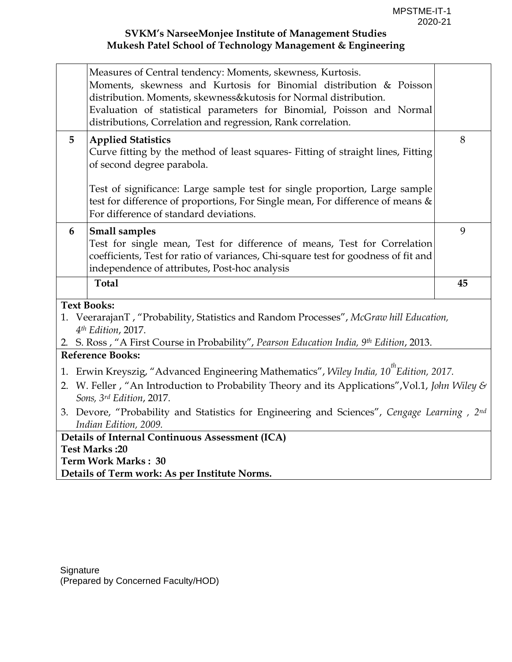|                                                                                                                             | Measures of Central tendency: Moments, skewness, Kurtosis.<br>Moments, skewness and Kurtosis for Binomial distribution & Poisson<br>distribution. Moments, skewness&kutosis for Normal distribution.<br>Evaluation of statistical parameters for Binomial, Poisson and Normal<br>distributions, Correlation and regression, Rank correlation. |    |  |  |  |
|-----------------------------------------------------------------------------------------------------------------------------|-----------------------------------------------------------------------------------------------------------------------------------------------------------------------------------------------------------------------------------------------------------------------------------------------------------------------------------------------|----|--|--|--|
| 5                                                                                                                           | <b>Applied Statistics</b><br>Curve fitting by the method of least squares- Fitting of straight lines, Fitting<br>of second degree parabola.                                                                                                                                                                                                   | 8  |  |  |  |
|                                                                                                                             | Test of significance: Large sample test for single proportion, Large sample<br>test for difference of proportions, For Single mean, For difference of means &<br>For difference of standard deviations.                                                                                                                                       |    |  |  |  |
| 6                                                                                                                           | <b>Small samples</b>                                                                                                                                                                                                                                                                                                                          | 9  |  |  |  |
|                                                                                                                             | Test for single mean, Test for difference of means, Test for Correlation<br>coefficients, Test for ratio of variances, Chi-square test for goodness of fit and<br>independence of attributes, Post-hoc analysis                                                                                                                               |    |  |  |  |
|                                                                                                                             |                                                                                                                                                                                                                                                                                                                                               |    |  |  |  |
|                                                                                                                             | <b>Total</b>                                                                                                                                                                                                                                                                                                                                  | 45 |  |  |  |
|                                                                                                                             | <b>Text Books:</b>                                                                                                                                                                                                                                                                                                                            |    |  |  |  |
|                                                                                                                             | 1. VeerarajanT, "Probability, Statistics and Random Processes", McGraw hill Education,<br>4 <sup>th</sup> Edition, 2017.                                                                                                                                                                                                                      |    |  |  |  |
|                                                                                                                             | 2. S. Ross, "A First Course in Probability", Pearson Education India, 9th Edition, 2013.                                                                                                                                                                                                                                                      |    |  |  |  |
|                                                                                                                             | <b>Reference Books:</b>                                                                                                                                                                                                                                                                                                                       |    |  |  |  |
|                                                                                                                             |                                                                                                                                                                                                                                                                                                                                               |    |  |  |  |
|                                                                                                                             | 1. Erwin Kreyszig, "Advanced Engineering Mathematics", Wiley India, 10 <sup>th</sup> Edition, 2017.                                                                                                                                                                                                                                           |    |  |  |  |
| 2. W. Feller, "An Introduction to Probability Theory and its Applications", Vol.1, John Wiley &<br>Sons, 3rd Edition, 2017. |                                                                                                                                                                                                                                                                                                                                               |    |  |  |  |
|                                                                                                                             | 3. Devore, "Probability and Statistics for Engineering and Sciences", Cengage Learning, 2nd<br>Indian Edition, 2009.                                                                                                                                                                                                                          |    |  |  |  |
|                                                                                                                             | Details of Internal Continuous Assessment (ICA)                                                                                                                                                                                                                                                                                               |    |  |  |  |
|                                                                                                                             | Test Marks: 20                                                                                                                                                                                                                                                                                                                                |    |  |  |  |
|                                                                                                                             | <b>Term Work Marks: 30</b>                                                                                                                                                                                                                                                                                                                    |    |  |  |  |
|                                                                                                                             |                                                                                                                                                                                                                                                                                                                                               |    |  |  |  |
|                                                                                                                             | Details of Term work: As per Institute Norms.                                                                                                                                                                                                                                                                                                 |    |  |  |  |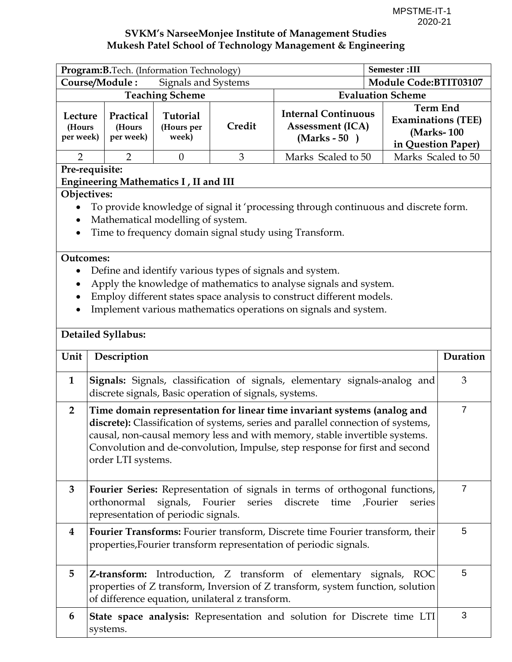| Program: B. Tech. (Information Technology)                                                                                                                                                                                                                                                                                                                                          |                                                                                                                                                                                                                       |                                        | <b>Semester</b> :III  |                                                                                                                                                                                                                                                                           |                          |                                                               |  |
|-------------------------------------------------------------------------------------------------------------------------------------------------------------------------------------------------------------------------------------------------------------------------------------------------------------------------------------------------------------------------------------|-----------------------------------------------------------------------------------------------------------------------------------------------------------------------------------------------------------------------|----------------------------------------|-----------------------|---------------------------------------------------------------------------------------------------------------------------------------------------------------------------------------------------------------------------------------------------------------------------|--------------------------|---------------------------------------------------------------|--|
| Course/Module:<br>Signals and Systems                                                                                                                                                                                                                                                                                                                                               |                                                                                                                                                                                                                       |                                        | Module Code:BTIT03107 |                                                                                                                                                                                                                                                                           |                          |                                                               |  |
|                                                                                                                                                                                                                                                                                                                                                                                     |                                                                                                                                                                                                                       | <b>Teaching Scheme</b>                 |                       |                                                                                                                                                                                                                                                                           | <b>Evaluation Scheme</b> |                                                               |  |
| Lecture<br>(Hours<br>per week)                                                                                                                                                                                                                                                                                                                                                      | Practical<br>(Hours<br>per week)                                                                                                                                                                                      | <b>Tutorial</b><br>(Hours per<br>week) | Credit                | <b>Term End</b><br><b>Internal Continuous</b><br><b>Assessment (ICA)</b><br>$(Marks - 50)$                                                                                                                                                                                |                          | <b>Examinations (TEE)</b><br>(Marks-100<br>in Question Paper) |  |
| $\overline{2}$                                                                                                                                                                                                                                                                                                                                                                      | $\overline{2}$                                                                                                                                                                                                        | $\theta$                               | 3                     | Marks Scaled to 50                                                                                                                                                                                                                                                        | Marks Scaled to 50       |                                                               |  |
|                                                                                                                                                                                                                                                                                                                                                                                     | Pre-requisite:                                                                                                                                                                                                        |                                        |                       |                                                                                                                                                                                                                                                                           |                          |                                                               |  |
|                                                                                                                                                                                                                                                                                                                                                                                     | Engineering Mathematics I, II and III                                                                                                                                                                                 |                                        |                       |                                                                                                                                                                                                                                                                           |                          |                                                               |  |
| Objectives:<br>$\bullet$                                                                                                                                                                                                                                                                                                                                                            | Mathematical modelling of system.                                                                                                                                                                                     |                                        |                       | To provide knowledge of signal it 'processing through continuous and discrete form.<br>Time to frequency domain signal study using Transform.                                                                                                                             |                          |                                                               |  |
| <b>Outcomes:</b><br>$\bullet$                                                                                                                                                                                                                                                                                                                                                       |                                                                                                                                                                                                                       |                                        |                       | Define and identify various types of signals and system.<br>Apply the knowledge of mathematics to analyse signals and system.<br>Employ different states space analysis to construct different models.<br>Implement various mathematics operations on signals and system. |                          |                                                               |  |
|                                                                                                                                                                                                                                                                                                                                                                                     | Detailed Syllabus:                                                                                                                                                                                                    |                                        |                       |                                                                                                                                                                                                                                                                           |                          |                                                               |  |
| Unit                                                                                                                                                                                                                                                                                                                                                                                | Description                                                                                                                                                                                                           |                                        |                       |                                                                                                                                                                                                                                                                           |                          | Duration                                                      |  |
| $\mathbf{1}$                                                                                                                                                                                                                                                                                                                                                                        | discrete signals, Basic operation of signals, systems.                                                                                                                                                                |                                        |                       | Signals: Signals, classification of signals, elementary signals-analog and                                                                                                                                                                                                |                          | 3                                                             |  |
| $\overline{7}$<br>$\overline{2}$<br>Time domain representation for linear time invariant systems (analog and<br>discrete): Classification of systems, series and parallel connection of systems,<br>causal, non-causal memory less and with memory, stable invertible systems.<br>Convolution and de-convolution, Impulse, step response for first and second<br>order LTI systems. |                                                                                                                                                                                                                       |                                        |                       |                                                                                                                                                                                                                                                                           |                          |                                                               |  |
| 3                                                                                                                                                                                                                                                                                                                                                                                   | $\overline{7}$<br>Fourier Series: Representation of signals in terms of orthogonal functions,<br>signals, Fourier<br>series discrete time<br>orthonormal<br>Fourier,<br>series<br>representation of periodic signals. |                                        |                       |                                                                                                                                                                                                                                                                           |                          |                                                               |  |
| 4                                                                                                                                                                                                                                                                                                                                                                                   | 5<br>Fourier Transforms: Fourier transform, Discrete time Fourier transform, their<br>properties, Fourier transform representation of periodic signals.                                                               |                                        |                       |                                                                                                                                                                                                                                                                           |                          |                                                               |  |
| 5                                                                                                                                                                                                                                                                                                                                                                                   | of difference equation, unilateral z transform.                                                                                                                                                                       |                                        |                       | Z-transform: Introduction, Z transform of elementary signals, ROC<br>properties of Z transform, Inversion of Z transform, system function, solution                                                                                                                       |                          | 5                                                             |  |
| 6                                                                                                                                                                                                                                                                                                                                                                                   | systems.                                                                                                                                                                                                              |                                        |                       | State space analysis: Representation and solution for Discrete time LTI                                                                                                                                                                                                   |                          | 3                                                             |  |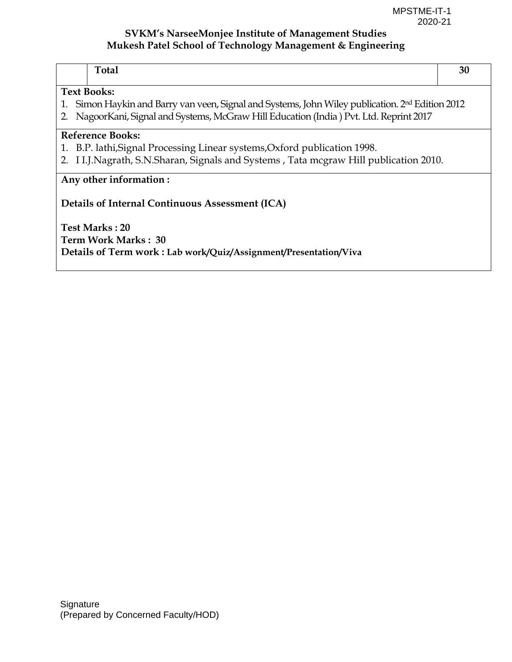| <b>Total</b>                                                                                                    | 30 |
|-----------------------------------------------------------------------------------------------------------------|----|
| <b>Text Books:</b>                                                                                              |    |
| Simon Haykin and Barry van veen, Signal and Systems, John Wiley publication. 2 <sup>nd</sup> Edition 2012<br>1. |    |
| 2. Nagoor Kani, Signal and Systems, McGraw Hill Education (India) Pvt. Ltd. Reprint 2017                        |    |
| Reference Books:                                                                                                |    |
| 1. B.P. lathi, Signal Processing Linear systems, Oxford publication 1998.                                       |    |
| 2. I I.J.Nagrath, S.N.Sharan, Signals and Systems, Tata mcgraw Hill publication 2010.                           |    |
| Any other information:                                                                                          |    |
| <b>Details of Internal Continuous Assessment (ICA)</b>                                                          |    |
| <b>Test Marks: 20</b>                                                                                           |    |
| Term Work Marks: 30                                                                                             |    |
| Details of Term work: Lab work/Quiz/Assignment/Presentation/Viva                                                |    |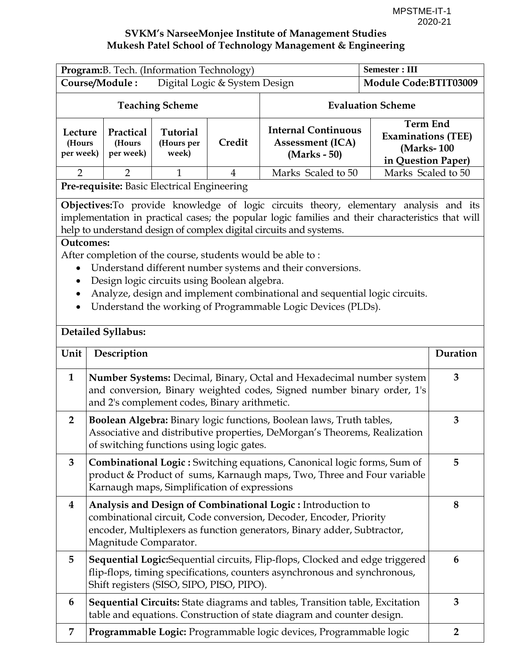| Program: B. Tech. (Information Technology)                                                                                                                                                                       |                                                                                                                                                                                                                                                                                                                                                                                                                                                                                                                                                 |                                 |                       |                                                                                                                                                        | <b>Semester: III</b>                                                                                           |                |
|------------------------------------------------------------------------------------------------------------------------------------------------------------------------------------------------------------------|-------------------------------------------------------------------------------------------------------------------------------------------------------------------------------------------------------------------------------------------------------------------------------------------------------------------------------------------------------------------------------------------------------------------------------------------------------------------------------------------------------------------------------------------------|---------------------------------|-----------------------|--------------------------------------------------------------------------------------------------------------------------------------------------------|----------------------------------------------------------------------------------------------------------------|----------------|
| Course/Module:<br>Digital Logic & System Design                                                                                                                                                                  |                                                                                                                                                                                                                                                                                                                                                                                                                                                                                                                                                 |                                 | Module Code:BTIT03009 |                                                                                                                                                        |                                                                                                                |                |
|                                                                                                                                                                                                                  |                                                                                                                                                                                                                                                                                                                                                                                                                                                                                                                                                 | <b>Teaching Scheme</b>          |                       |                                                                                                                                                        | <b>Evaluation Scheme</b>                                                                                       |                |
| Lecture<br>(Hours<br>per week)                                                                                                                                                                                   | Practical<br>(Hours<br>per week)                                                                                                                                                                                                                                                                                                                                                                                                                                                                                                                | Tutorial<br>(Hours per<br>week) | Credit                | <b>Assessment (ICA)</b><br>(Marks - 50)                                                                                                                | <b>Term End</b><br><b>Internal Continuous</b><br><b>Examinations (TEE)</b><br>(Marks-100<br>in Question Paper) |                |
| $\overline{2}$                                                                                                                                                                                                   | $\overline{2}$                                                                                                                                                                                                                                                                                                                                                                                                                                                                                                                                  | 1                               | $\overline{4}$        | Marks Scaled to 50                                                                                                                                     | Marks Scaled to 50                                                                                             |                |
|                                                                                                                                                                                                                  | Pre-requisite: Basic Electrical Engineering                                                                                                                                                                                                                                                                                                                                                                                                                                                                                                     |                                 |                       |                                                                                                                                                        |                                                                                                                |                |
| $\bullet$<br>$\bullet$                                                                                                                                                                                           | Objectives: To provide knowledge of logic circuits theory, elementary analysis and its<br>implementation in practical cases; the popular logic families and their characteristics that will<br>help to understand design of complex digital circuits and systems.<br><b>Outcomes:</b><br>After completion of the course, students would be able to:<br>Understand different number systems and their conversions.<br>Design logic circuits using Boolean algebra.<br>Analyze, design and implement combinational and sequential logic circuits. |                                 |                       |                                                                                                                                                        |                                                                                                                |                |
|                                                                                                                                                                                                                  | <b>Detailed Syllabus:</b>                                                                                                                                                                                                                                                                                                                                                                                                                                                                                                                       |                                 |                       | Understand the working of Programmable Logic Devices (PLDs).                                                                                           |                                                                                                                |                |
| Unit                                                                                                                                                                                                             | Description                                                                                                                                                                                                                                                                                                                                                                                                                                                                                                                                     |                                 |                       |                                                                                                                                                        |                                                                                                                | Duration       |
| $\mathbf{1}$<br>Number Systems: Decimal, Binary, Octal and Hexadecimal number system<br>and conversion, Binary weighted codes, Signed number binary order, 1's<br>and 2's complement codes, Binary arithmetic.   |                                                                                                                                                                                                                                                                                                                                                                                                                                                                                                                                                 |                                 |                       |                                                                                                                                                        | 3                                                                                                              |                |
| $\overline{2}$<br>Boolean Algebra: Binary logic functions, Boolean laws, Truth tables,<br>Associative and distributive properties, DeMorgan's Theorems, Realization<br>of switching functions using logic gates. |                                                                                                                                                                                                                                                                                                                                                                                                                                                                                                                                                 |                                 |                       |                                                                                                                                                        | 3                                                                                                              |                |
| 3<br>Combinational Logic: Switching equations, Canonical logic forms, Sum of<br>5<br>product & Product of sums, Karnaugh maps, Two, Three and Four variable<br>Karnaugh maps, Simplification of expressions      |                                                                                                                                                                                                                                                                                                                                                                                                                                                                                                                                                 |                                 |                       |                                                                                                                                                        |                                                                                                                |                |
| 4                                                                                                                                                                                                                | Analysis and Design of Combinational Logic: Introduction to<br>8<br>combinational circuit, Code conversion, Decoder, Encoder, Priority<br>encoder, Multiplexers as function generators, Binary adder, Subtractor,<br>Magnitude Comparator.                                                                                                                                                                                                                                                                                                      |                                 |                       |                                                                                                                                                        |                                                                                                                |                |
| Sequential Logic:Sequential circuits, Flip-flops, Clocked and edge triggered<br>5<br>6<br>flip-flops, timing specifications, counters asynchronous and synchronous,<br>Shift registers (SISO, SIPO, PISO, PIPO). |                                                                                                                                                                                                                                                                                                                                                                                                                                                                                                                                                 |                                 |                       |                                                                                                                                                        |                                                                                                                |                |
| 6                                                                                                                                                                                                                |                                                                                                                                                                                                                                                                                                                                                                                                                                                                                                                                                 |                                 |                       | Sequential Circuits: State diagrams and tables, Transition table, Excitation<br>table and equations. Construction of state diagram and counter design. |                                                                                                                | 3              |
| 7                                                                                                                                                                                                                |                                                                                                                                                                                                                                                                                                                                                                                                                                                                                                                                                 |                                 |                       | Programmable Logic: Programmable logic devices, Programmable logic                                                                                     |                                                                                                                | $\overline{2}$ |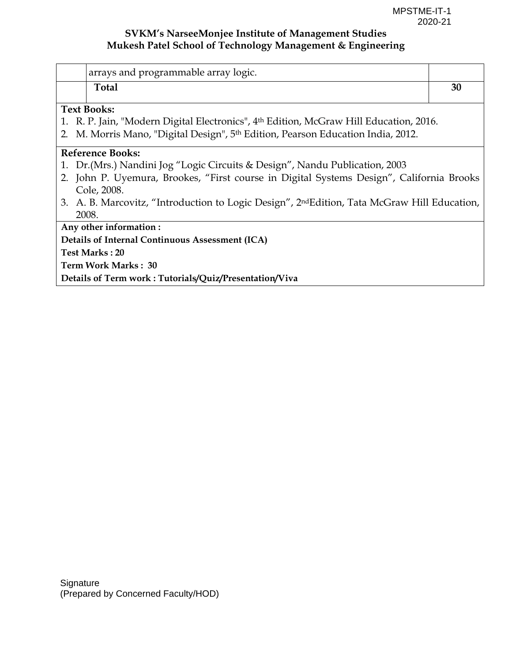| arrays and programmable array logic.                                                                     |    |  |  |  |
|----------------------------------------------------------------------------------------------------------|----|--|--|--|
| <b>Total</b>                                                                                             | 30 |  |  |  |
| <b>Text Books:</b>                                                                                       |    |  |  |  |
| 1. R. P. Jain, "Modern Digital Electronics", 4 <sup>th</sup> Edition, McGraw Hill Education, 2016.       |    |  |  |  |
| M. Morris Mano, "Digital Design", 5th Edition, Pearson Education India, 2012.                            |    |  |  |  |
| <b>Reference Books:</b>                                                                                  |    |  |  |  |
| 1. Dr. (Mrs.) Nandini Jog "Logic Circuits & Design", Nandu Publication, 2003                             |    |  |  |  |
| 2. John P. Uyemura, Brookes, "First course in Digital Systems Design", California Brooks                 |    |  |  |  |
| Cole, 2008.                                                                                              |    |  |  |  |
| 3. A. B. Marcovitz, "Introduction to Logic Design", 2 <sup>nd</sup> Edition, Tata McGraw Hill Education, |    |  |  |  |
| 2008.                                                                                                    |    |  |  |  |
| Any other information:                                                                                   |    |  |  |  |
| Details of Internal Continuous Assessment (ICA)                                                          |    |  |  |  |
| <b>Test Marks: 20</b>                                                                                    |    |  |  |  |
| Term Work Marks: 30                                                                                      |    |  |  |  |
| Details of Term work: Tutorials/Quiz/Presentation/Viva                                                   |    |  |  |  |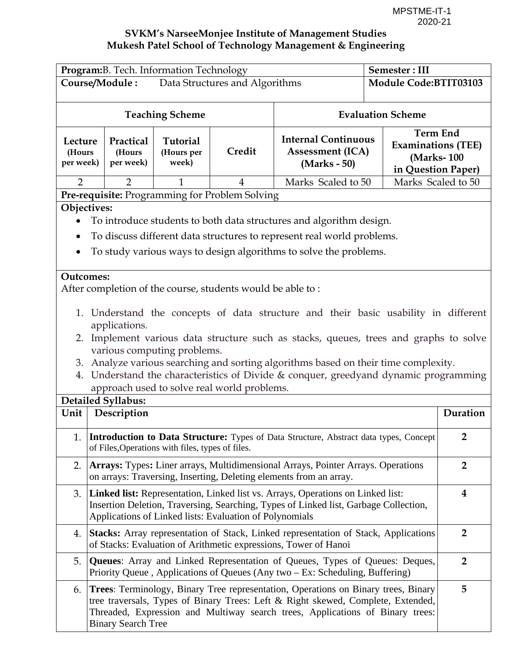|                                | Program: B. Tech. Information Technology                                                                                                                                                                                                | Semester: III                          |                |                                                                                                                                                                                                                                                            |                       |                                                                                  |  |
|--------------------------------|-----------------------------------------------------------------------------------------------------------------------------------------------------------------------------------------------------------------------------------------|----------------------------------------|----------------|------------------------------------------------------------------------------------------------------------------------------------------------------------------------------------------------------------------------------------------------------------|-----------------------|----------------------------------------------------------------------------------|--|
|                                | Course/Module:<br>Data Structures and Algorithms                                                                                                                                                                                        |                                        |                |                                                                                                                                                                                                                                                            | Module Code:BTIT03103 |                                                                                  |  |
|                                | <b>Evaluation Scheme</b><br><b>Teaching Scheme</b>                                                                                                                                                                                      |                                        |                |                                                                                                                                                                                                                                                            |                       |                                                                                  |  |
| Lecture<br>(Hours<br>per week) | Practical<br>(Hours<br>per week)                                                                                                                                                                                                        | <b>Tutorial</b><br>(Hours per<br>week) | Credit         | <b>Internal Continuous</b><br>Assessment (ICA)<br>(Marks - 50)                                                                                                                                                                                             |                       | <b>Term End</b><br><b>Examinations (TEE)</b><br>(Marks-100<br>in Question Paper) |  |
| $\overline{2}$                 | 2                                                                                                                                                                                                                                       |                                        | $\overline{4}$ | Marks Scaled to 50                                                                                                                                                                                                                                         | Marks Scaled to 50    |                                                                                  |  |
|                                | Pre-requisite: Programming for Problem Solving                                                                                                                                                                                          |                                        |                |                                                                                                                                                                                                                                                            |                       |                                                                                  |  |
|                                | Objectives:                                                                                                                                                                                                                             |                                        |                |                                                                                                                                                                                                                                                            |                       |                                                                                  |  |
| $\bullet$                      |                                                                                                                                                                                                                                         |                                        |                | To introduce students to both data structures and algorithm design.                                                                                                                                                                                        |                       |                                                                                  |  |
|                                |                                                                                                                                                                                                                                         |                                        |                | To discuss different data structures to represent real world problems.                                                                                                                                                                                     |                       |                                                                                  |  |
| $\bullet$                      |                                                                                                                                                                                                                                         |                                        |                | To study various ways to design algorithms to solve the problems.                                                                                                                                                                                          |                       |                                                                                  |  |
| <b>Outcomes:</b>               |                                                                                                                                                                                                                                         |                                        |                |                                                                                                                                                                                                                                                            |                       |                                                                                  |  |
|                                | After completion of the course, students would be able to:                                                                                                                                                                              |                                        |                |                                                                                                                                                                                                                                                            |                       |                                                                                  |  |
|                                |                                                                                                                                                                                                                                         |                                        |                | 1. Understand the concepts of data structure and their basic usability in different                                                                                                                                                                        |                       |                                                                                  |  |
|                                | applications.                                                                                                                                                                                                                           |                                        |                |                                                                                                                                                                                                                                                            |                       |                                                                                  |  |
| 2.                             |                                                                                                                                                                                                                                         |                                        |                | Implement various data structure such as stacks, queues, trees and graphs to solve                                                                                                                                                                         |                       |                                                                                  |  |
|                                | various computing problems.                                                                                                                                                                                                             |                                        |                |                                                                                                                                                                                                                                                            |                       |                                                                                  |  |
| 3.                             |                                                                                                                                                                                                                                         |                                        |                | Analyze various searching and sorting algorithms based on their time complexity.                                                                                                                                                                           |                       |                                                                                  |  |
| 4.                             |                                                                                                                                                                                                                                         |                                        |                | Understand the characteristics of Divide & conquer, greedyand dynamic programming                                                                                                                                                                          |                       |                                                                                  |  |
|                                | approach used to solve real world problems.                                                                                                                                                                                             |                                        |                |                                                                                                                                                                                                                                                            |                       |                                                                                  |  |
|                                | <b>Detailed Syllabus:</b>                                                                                                                                                                                                               |                                        |                |                                                                                                                                                                                                                                                            |                       |                                                                                  |  |
| Unit                           | Description                                                                                                                                                                                                                             |                                        |                |                                                                                                                                                                                                                                                            |                       | Duration                                                                         |  |
|                                | of Files, Operations with files, types of files.                                                                                                                                                                                        |                                        |                | 1. <b>Introduction to Data Structure:</b> Types of Data Structure, Abstract data types, Concept                                                                                                                                                            |                       | $\overline{2}$                                                                   |  |
| 2.                             |                                                                                                                                                                                                                                         |                                        |                | <b>Arrays:</b> Types: Liner arrays, Multidimensional Arrays, Pointer Arrays. Operations<br>on arrays: Traversing, Inserting, Deleting elements from an array.                                                                                              |                       | $\overline{2}$                                                                   |  |
| 3.                             | Linked list: Representation, Linked list vs. Arrays, Operations on Linked list:<br>4<br>Insertion Deletion, Traversing, Searching, Types of Linked list, Garbage Collection,<br>Applications of Linked lists: Evaluation of Polynomials |                                        |                |                                                                                                                                                                                                                                                            |                       |                                                                                  |  |
| 4.                             |                                                                                                                                                                                                                                         |                                        |                | Stacks: Array representation of Stack, Linked representation of Stack, Applications<br>of Stacks: Evaluation of Arithmetic expressions, Tower of Hanoi                                                                                                     |                       | $\overline{2}$                                                                   |  |
| 5.                             | <b>Queues:</b> Array and Linked Representation of Queues, Types of Queues: Deques,<br>$\overline{2}$<br>Priority Queue, Applications of Queues (Any two - Ex: Scheduling, Buffering)                                                    |                                        |                |                                                                                                                                                                                                                                                            |                       |                                                                                  |  |
|                                | <b>Binary Search Tree</b>                                                                                                                                                                                                               |                                        |                | 6. Trees: Terminology, Binary Tree representation, Operations on Binary trees, Binary<br>tree traversals, Types of Binary Trees: Left & Right skewed, Complete, Extended,<br>Threaded, Expression and Multiway search trees, Applications of Binary trees: |                       | 5                                                                                |  |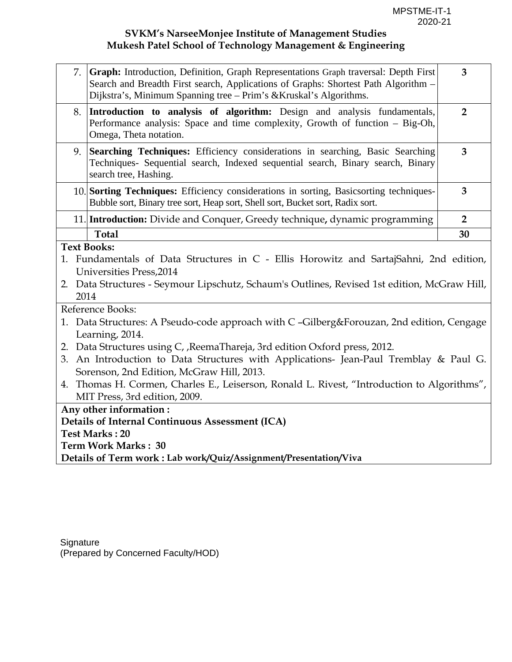| 7.   | Graph: Introduction, Definition, Graph Representations Graph traversal: Depth First<br>Search and Breadth First search, Applications of Graphs: Shortest Path Algorithm -<br>Dijkstra's, Minimum Spanning tree – Prim's & Kruskal's Algorithms. | $\overline{3}$ |  |  |  |
|------|-------------------------------------------------------------------------------------------------------------------------------------------------------------------------------------------------------------------------------------------------|----------------|--|--|--|
| 8.   | Introduction to analysis of algorithm: Design and analysis fundamentals,<br>Performance analysis: Space and time complexity, Growth of function - Big-Oh,<br>Omega, Theta notation.                                                             | $\overline{2}$ |  |  |  |
| 9.   | Searching Techniques: Efficiency considerations in searching, Basic Searching<br>Techniques- Sequential search, Indexed sequential search, Binary search, Binary<br>search tree, Hashing.                                                       | 3              |  |  |  |
|      | 10. Sorting Techniques: Efficiency considerations in sorting, Basicsorting techniques-<br>Bubble sort, Binary tree sort, Heap sort, Shell sort, Bucket sort, Radix sort.                                                                        | 3              |  |  |  |
|      | 11. Introduction: Divide and Conquer, Greedy technique, dynamic programming                                                                                                                                                                     | $\overline{2}$ |  |  |  |
|      | <b>Total</b>                                                                                                                                                                                                                                    | 30             |  |  |  |
| 2014 | 1. Fundamentals of Data Structures in C - Ellis Horowitz and SartajSahni, 2nd edition,<br>Universities Press, 2014<br>2. Data Structures - Seymour Lipschutz, Schaum's Outlines, Revised 1st edition, McGraw Hill,                              |                |  |  |  |
|      | Reference Books:                                                                                                                                                                                                                                |                |  |  |  |
|      | 1. Data Structures: A Pseudo-code approach with C -Gilberg&Forouzan, 2nd edition, Cengage<br>Learning, 2014.                                                                                                                                    |                |  |  |  |
|      | 2. Data Structures using C, , ReemaThareja, 3rd edition Oxford press, 2012.<br>3. An Introduction to Data Structures with Applications- Jean-Paul Tremblay & Paul G.<br>Sorenson, 2nd Edition, McGraw Hill, 2013.                               |                |  |  |  |
|      | 4. Thomas H. Cormen, Charles E., Leiserson, Ronald L. Rivest, "Introduction to Algorithms",<br>MIT Press, 3rd edition, 2009.                                                                                                                    |                |  |  |  |
|      | Any other information:                                                                                                                                                                                                                          |                |  |  |  |
|      | <b>Details of Internal Continuous Assessment (ICA)</b>                                                                                                                                                                                          |                |  |  |  |
|      | <b>Test Marks: 20</b>                                                                                                                                                                                                                           |                |  |  |  |
|      | Term Work Marks: 30<br>Details of Term work: Lab work/Quiz/Assignment/Presentation/Viva                                                                                                                                                         |                |  |  |  |
|      |                                                                                                                                                                                                                                                 |                |  |  |  |

**Signature** (Prepared by Concerned Faculty/HOD)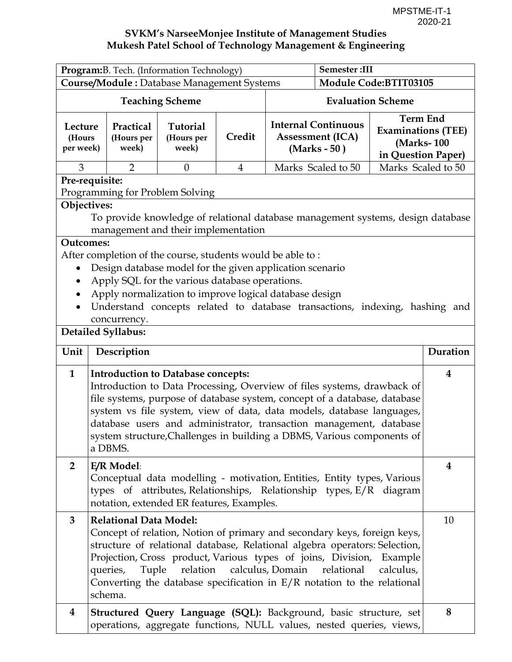| Program: B. Tech. (Information Technology)                                                                                                                                                                                                                                                                                                                                                                                                            |                                                                                                                                                                                                                                                                                                                                                                              |                                        | <b>Semester:III</b>      |                                                                                                                                       |                                      |                    |          |
|-------------------------------------------------------------------------------------------------------------------------------------------------------------------------------------------------------------------------------------------------------------------------------------------------------------------------------------------------------------------------------------------------------------------------------------------------------|------------------------------------------------------------------------------------------------------------------------------------------------------------------------------------------------------------------------------------------------------------------------------------------------------------------------------------------------------------------------------|----------------------------------------|--------------------------|---------------------------------------------------------------------------------------------------------------------------------------|--------------------------------------|--------------------|----------|
| <b>Course/Module:</b> Database Management Systems                                                                                                                                                                                                                                                                                                                                                                                                     |                                                                                                                                                                                                                                                                                                                                                                              | Module Code:BTIT03105                  |                          |                                                                                                                                       |                                      |                    |          |
| <b>Teaching Scheme</b>                                                                                                                                                                                                                                                                                                                                                                                                                                |                                                                                                                                                                                                                                                                                                                                                                              |                                        | <b>Evaluation Scheme</b> |                                                                                                                                       |                                      |                    |          |
| Lecture<br>(Hours<br>per week)                                                                                                                                                                                                                                                                                                                                                                                                                        | Practical<br>(Hours per<br>week)                                                                                                                                                                                                                                                                                                                                             | <b>Tutorial</b><br>(Hours per<br>week) | Credit                   | <b>Term End</b><br><b>Internal Continuous</b><br><b>Examinations (TEE)</b><br><b>Assessment (ICA)</b><br>(Marks-100<br>$(Marks - 50)$ |                                      | in Question Paper) |          |
| 3                                                                                                                                                                                                                                                                                                                                                                                                                                                     | $\overline{2}$                                                                                                                                                                                                                                                                                                                                                               | $\theta$                               | $\overline{4}$           |                                                                                                                                       | Marks Scaled to 50                   | Marks Scaled to 50 |          |
| Pre-requisite:                                                                                                                                                                                                                                                                                                                                                                                                                                        |                                                                                                                                                                                                                                                                                                                                                                              |                                        |                          |                                                                                                                                       |                                      |                    |          |
|                                                                                                                                                                                                                                                                                                                                                                                                                                                       | Programming for Problem Solving                                                                                                                                                                                                                                                                                                                                              |                                        |                          |                                                                                                                                       |                                      |                    |          |
| Objectives:                                                                                                                                                                                                                                                                                                                                                                                                                                           | To provide knowledge of relational database management systems, design database                                                                                                                                                                                                                                                                                              |                                        |                          |                                                                                                                                       |                                      |                    |          |
|                                                                                                                                                                                                                                                                                                                                                                                                                                                       | management and their implementation                                                                                                                                                                                                                                                                                                                                          |                                        |                          |                                                                                                                                       |                                      |                    |          |
| <b>Outcomes:</b>                                                                                                                                                                                                                                                                                                                                                                                                                                      |                                                                                                                                                                                                                                                                                                                                                                              |                                        |                          |                                                                                                                                       |                                      |                    |          |
|                                                                                                                                                                                                                                                                                                                                                                                                                                                       | After completion of the course, students would be able to:                                                                                                                                                                                                                                                                                                                   |                                        |                          |                                                                                                                                       |                                      |                    |          |
| ٠                                                                                                                                                                                                                                                                                                                                                                                                                                                     | Design database model for the given application scenario                                                                                                                                                                                                                                                                                                                     |                                        |                          |                                                                                                                                       |                                      |                    |          |
| $\bullet$                                                                                                                                                                                                                                                                                                                                                                                                                                             | Apply SQL for the various database operations.                                                                                                                                                                                                                                                                                                                               |                                        |                          |                                                                                                                                       |                                      |                    |          |
| $\bullet$                                                                                                                                                                                                                                                                                                                                                                                                                                             | Apply normalization to improve logical database design                                                                                                                                                                                                                                                                                                                       |                                        |                          |                                                                                                                                       |                                      |                    |          |
|                                                                                                                                                                                                                                                                                                                                                                                                                                                       | Understand concepts related to database transactions, indexing, hashing and                                                                                                                                                                                                                                                                                                  |                                        |                          |                                                                                                                                       |                                      |                    |          |
|                                                                                                                                                                                                                                                                                                                                                                                                                                                       | concurrency.<br><b>Detailed Syllabus:</b>                                                                                                                                                                                                                                                                                                                                    |                                        |                          |                                                                                                                                       |                                      |                    |          |
|                                                                                                                                                                                                                                                                                                                                                                                                                                                       |                                                                                                                                                                                                                                                                                                                                                                              |                                        |                          |                                                                                                                                       |                                      |                    |          |
| Unit                                                                                                                                                                                                                                                                                                                                                                                                                                                  | Description                                                                                                                                                                                                                                                                                                                                                                  |                                        |                          |                                                                                                                                       |                                      |                    | Duration |
| $\mathbf{1}$<br><b>Introduction to Database concepts:</b><br>Introduction to Data Processing, Overview of files systems, drawback of<br>file systems, purpose of database system, concept of a database, database<br>system vs file system, view of data, data models, database languages,<br>database users and administrator, transaction management, database<br>system structure, Challenges in building a DBMS, Various components of<br>a DBMS. |                                                                                                                                                                                                                                                                                                                                                                              |                                        |                          |                                                                                                                                       | $\overline{\mathbf{4}}$              |                    |          |
| $\overline{2}$<br>E/R Model:<br>$\overline{\mathbf{4}}$<br>Conceptual data modelling - motivation, Entities, Entity types, Various<br>types of attributes, Relationships, Relationship types, E/R diagram<br>notation, extended ER features, Examples.                                                                                                                                                                                                |                                                                                                                                                                                                                                                                                                                                                                              |                                        |                          |                                                                                                                                       |                                      |                    |          |
| 3                                                                                                                                                                                                                                                                                                                                                                                                                                                     | <b>Relational Data Model:</b><br>Concept of relation, Notion of primary and secondary keys, foreign keys,<br>structure of relational database, Relational algebra operators: Selection,<br>Projection, Cross product, Various types of joins, Division, Example<br>queries,<br>Tuple<br>Converting the database specification in $E/R$ notation to the relational<br>schema. |                                        |                          |                                                                                                                                       | relation calculus, Domain relational | calculus,          | 10       |
| 4                                                                                                                                                                                                                                                                                                                                                                                                                                                     | Structured Query Language (SQL): Background, basic structure, set<br>operations, aggregate functions, NULL values, nested queries, views,                                                                                                                                                                                                                                    |                                        |                          |                                                                                                                                       |                                      |                    | 8        |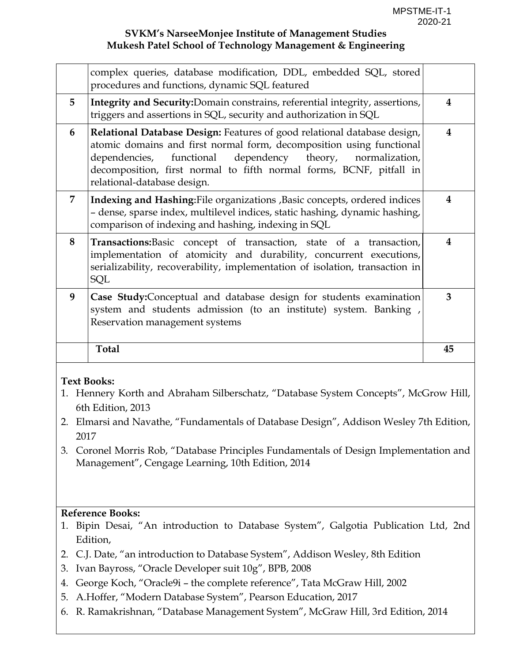|   | complex queries, database modification, DDL, embedded SQL, stored<br>procedures and functions, dynamic SQL featured                                                                                                                                                                                                  |    |
|---|----------------------------------------------------------------------------------------------------------------------------------------------------------------------------------------------------------------------------------------------------------------------------------------------------------------------|----|
| 5 | Integrity and Security: Domain constrains, referential integrity, assertions,<br>triggers and assertions in SQL, security and authorization in SQL                                                                                                                                                                   | 4  |
| 6 | Relational Database Design: Features of good relational database design,<br>atomic domains and first normal form, decomposition using functional<br>dependencies, functional dependency theory, normalization,<br>decomposition, first normal to fifth normal forms, BCNF, pitfall in<br>relational-database design. | 4  |
| 7 | Indexing and Hashing: File organizations , Basic concepts, ordered indices<br>- dense, sparse index, multilevel indices, static hashing, dynamic hashing,<br>comparison of indexing and hashing, indexing in SQL                                                                                                     | 4  |
| 8 | Transactions: Basic concept of transaction, state of a transaction,<br>implementation of atomicity and durability, concurrent executions,<br>serializability, recoverability, implementation of isolation, transaction in<br>SQL                                                                                     | 4  |
| 9 | Case Study: Conceptual and database design for students examination<br>system and students admission (to an institute) system. Banking,<br>Reservation management systems                                                                                                                                            | 3  |
|   | <b>Total</b>                                                                                                                                                                                                                                                                                                         | 45 |

### **Text Books:**

- 1. Hennery Korth and Abraham Silberschatz, "Database System Concepts", McGrow Hill, 6th Edition, 2013
- 2. Elmarsi and Navathe, "Fundamentals of Database Design", Addison Wesley 7th Edition, 2017
- 3. Coronel Morris Rob, "Database Principles Fundamentals of Design Implementation and Management", Cengage Learning, 10th Edition, 2014

# **Reference Books:**

- 1. Bipin Desai, "An introduction to Database System", Galgotia Publication Ltd, 2nd Edition,
- 2. C.J. Date, "an introduction to Database System", Addison Wesley, 8th Edition
- 3. Ivan Bayross, "Oracle Developer suit 10g", BPB, 2008
- 4. George Koch, "Oracle9i the complete reference", Tata McGraw Hill, 2002
- 5. A.Hoffer, "Modern Database System", Pearson Education, 2017
- 6. R. Ramakrishnan, "Database Management System", McGraw Hill, 3rd Edition, 2014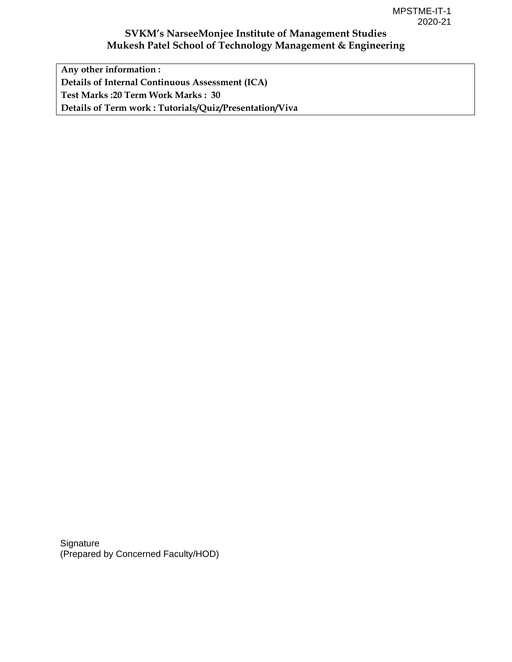**Any other information : Details of Internal Continuous Assessment (ICA) Test Marks :20 Term Work Marks : 30 Details of Term work : Tutorials/Quiz/Presentation/Viva** 

**Signature** (Prepared by Concerned Faculty/HOD)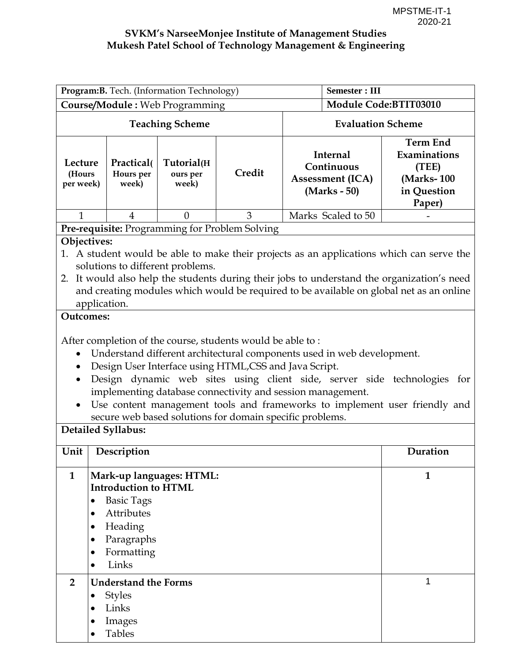| Program: B. Tech. (Information Technology)                                                                                                                                                                                                                                                                                                                                                                                                                                                                                                                                                                                                                                                                                                                                                                                                                                                              |                                                                                  |                                 |                                                |                                                                          | <b>Semester: III</b>  |          |  |  |  |                                                                                 |
|---------------------------------------------------------------------------------------------------------------------------------------------------------------------------------------------------------------------------------------------------------------------------------------------------------------------------------------------------------------------------------------------------------------------------------------------------------------------------------------------------------------------------------------------------------------------------------------------------------------------------------------------------------------------------------------------------------------------------------------------------------------------------------------------------------------------------------------------------------------------------------------------------------|----------------------------------------------------------------------------------|---------------------------------|------------------------------------------------|--------------------------------------------------------------------------|-----------------------|----------|--|--|--|---------------------------------------------------------------------------------|
| <b>Course/Module: Web Programming</b>                                                                                                                                                                                                                                                                                                                                                                                                                                                                                                                                                                                                                                                                                                                                                                                                                                                                   |                                                                                  |                                 |                                                |                                                                          | Module Code:BTIT03010 |          |  |  |  |                                                                                 |
| <b>Teaching Scheme</b>                                                                                                                                                                                                                                                                                                                                                                                                                                                                                                                                                                                                                                                                                                                                                                                                                                                                                  |                                                                                  |                                 |                                                | <b>Evaluation Scheme</b>                                                 |                       |          |  |  |  |                                                                                 |
| Lecture<br>(Hours<br>per week)                                                                                                                                                                                                                                                                                                                                                                                                                                                                                                                                                                                                                                                                                                                                                                                                                                                                          | Practical(<br>Hours per<br>week)                                                 | Tutorial(H<br>ours per<br>week) | Credit                                         | <b>Internal</b><br>Continuous<br><b>Assessment (ICA)</b><br>(Marks - 50) |                       |          |  |  |  | <b>Term End</b><br>Examinations<br>(TEE)<br>(Marks-100<br>in Question<br>Paper) |
| $\mathbf{1}$                                                                                                                                                                                                                                                                                                                                                                                                                                                                                                                                                                                                                                                                                                                                                                                                                                                                                            | $\overline{4}$                                                                   | $\theta$                        | 3                                              | Marks Scaled to 50                                                       |                       |          |  |  |  |                                                                                 |
|                                                                                                                                                                                                                                                                                                                                                                                                                                                                                                                                                                                                                                                                                                                                                                                                                                                                                                         |                                                                                  |                                 | Pre-requisite: Programming for Problem Solving |                                                                          |                       |          |  |  |  |                                                                                 |
| Objectives:<br>1. A student would be able to make their projects as an applications which can serve the<br>solutions to different problems.<br>It would also help the students during their jobs to understand the organization's need<br>2.<br>and creating modules which would be required to be available on global net as an online<br>application.<br><b>Outcomes:</b><br>After completion of the course, students would be able to:<br>Understand different architectural components used in web development.<br>$\bullet$<br>Design User Interface using HTML,CSS and Java Script.<br>Design dynamic web sites using client side, server side technologies for<br>$\bullet$<br>implementing database connectivity and session management.<br>Use content management tools and frameworks to implement user friendly and<br>$\bullet$<br>secure web based solutions for domain specific problems. |                                                                                  |                                 |                                                |                                                                          |                       |          |  |  |  |                                                                                 |
| Unit                                                                                                                                                                                                                                                                                                                                                                                                                                                                                                                                                                                                                                                                                                                                                                                                                                                                                                    | Description                                                                      |                                 |                                                |                                                                          |                       | Duration |  |  |  |                                                                                 |
| Mark-up languages: HTML:<br>$\mathbf{1}$<br>$\mathbf{1}$<br><b>Introduction to HTML</b><br><b>Basic Tags</b><br>Attributes<br>٠<br>Heading<br>$\bullet$<br>Paragraphs<br>Formatting<br>Links<br>$\bullet$                                                                                                                                                                                                                                                                                                                                                                                                                                                                                                                                                                                                                                                                                               |                                                                                  |                                 |                                                |                                                                          |                       |          |  |  |  |                                                                                 |
| $\overline{2}$<br>٠                                                                                                                                                                                                                                                                                                                                                                                                                                                                                                                                                                                                                                                                                                                                                                                                                                                                                     | <b>Understand the Forms</b><br><b>Styles</b><br>Links<br>Images<br><b>Tables</b> |                                 |                                                |                                                                          |                       | 1        |  |  |  |                                                                                 |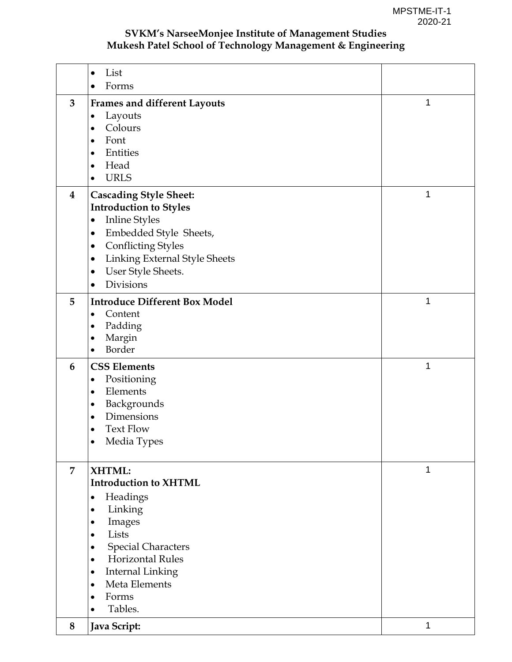|                | List<br>$\bullet$<br>Forms<br>$\bullet$                                                                                                                                                                                                                                                                                    |   |
|----------------|----------------------------------------------------------------------------------------------------------------------------------------------------------------------------------------------------------------------------------------------------------------------------------------------------------------------------|---|
| $\mathbf{3}$   | <b>Frames and different Layouts</b><br>Layouts<br>$\bullet$<br>Colours<br>$\bullet$<br>Font<br>$\bullet$<br>Entities<br>٠<br>Head<br>٠<br><b>URLS</b><br>٠                                                                                                                                                                 | 1 |
| $\bf{4}$       | <b>Cascading Style Sheet:</b><br><b>Introduction to Styles</b><br><b>Inline Styles</b><br>$\bullet$<br>Embedded Style Sheets,<br>$\bullet$<br><b>Conflicting Styles</b><br>٠<br><b>Linking External Style Sheets</b><br>$\bullet$<br>User Style Sheets.<br>٠<br>Divisions<br>$\bullet$                                     | 1 |
| 5              | <b>Introduce Different Box Model</b><br>Content<br>$\bullet$<br>Padding<br>٠<br>Margin<br>$\bullet$<br>Border<br>$\bullet$                                                                                                                                                                                                 | 1 |
| 6              | <b>CSS Elements</b><br>Positioning<br>٠<br>Elements<br>$\bullet$<br>Backgrounds<br>$\bullet$<br>Dimensions<br>٠<br><b>Text Flow</b><br>٠<br>Media Types<br>$\bullet$                                                                                                                                                       | 1 |
| $\overline{7}$ | XHTML:<br><b>Introduction to XHTML</b><br>Headings<br>$\bullet$<br>Linking<br>$\bullet$<br>Images<br>٠<br>Lists<br>$\bullet$<br><b>Special Characters</b><br>$\bullet$<br><b>Horizontal Rules</b><br>$\bullet$<br><b>Internal Linking</b><br>٠<br>Meta Elements<br>$\bullet$<br>Forms<br>$\bullet$<br>Tables.<br>$\bullet$ | 1 |
| 8              | Java Script:                                                                                                                                                                                                                                                                                                               | 1 |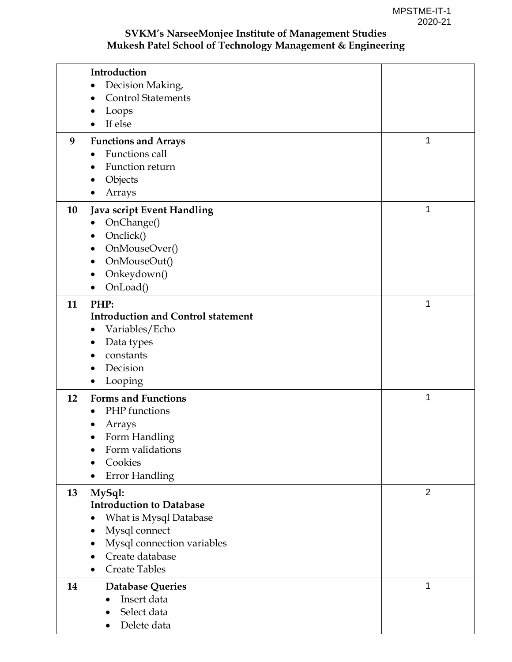|    | Introduction                              |                |
|----|-------------------------------------------|----------------|
|    | Decision Making,                          |                |
|    | <b>Control Statements</b>                 |                |
|    | Loops                                     |                |
|    | If else<br>$\bullet$                      |                |
| 9  | <b>Functions and Arrays</b>               | 1              |
|    | Functions call<br>$\bullet$               |                |
|    | Function return                           |                |
|    | Objects                                   |                |
|    | Arrays                                    |                |
| 10 | Java script Event Handling                | 1              |
|    | OnChange()<br>$\bullet$                   |                |
|    | Onclick()                                 |                |
|    | OnMouseOver()                             |                |
|    | OnMouseOut()                              |                |
|    | Onkeydown()                               |                |
|    | OnLoad()                                  |                |
| 11 | PHP:                                      | 1              |
|    | <b>Introduction and Control statement</b> |                |
|    | Variables/Echo                            |                |
|    | Data types                                |                |
|    | constants                                 |                |
|    | Decision<br>$\bullet$                     |                |
|    | Looping                                   |                |
| 12 | <b>Forms and Functions</b>                | 1              |
|    | PHP functions<br>$\bullet$                |                |
|    | Arrays                                    |                |
|    | Form Handling                             |                |
|    | Form validations<br>$\bullet$             |                |
|    | Cookies<br>$\bullet$                      |                |
|    | <b>Error Handling</b><br>$\bullet$        |                |
| 13 | MySql:                                    | $\overline{2}$ |
|    | <b>Introduction to Database</b>           |                |
|    | What is Mysql Database                    |                |
|    | Mysql connect                             |                |
|    | Mysql connection variables                |                |
|    | Create database<br>$\bullet$              |                |
|    | <b>Create Tables</b><br>$\bullet$         |                |
| 14 | <b>Database Queries</b>                   | 1              |
|    | Insert data                               |                |
|    | Select data                               |                |
|    | Delete data<br>$\bullet$                  |                |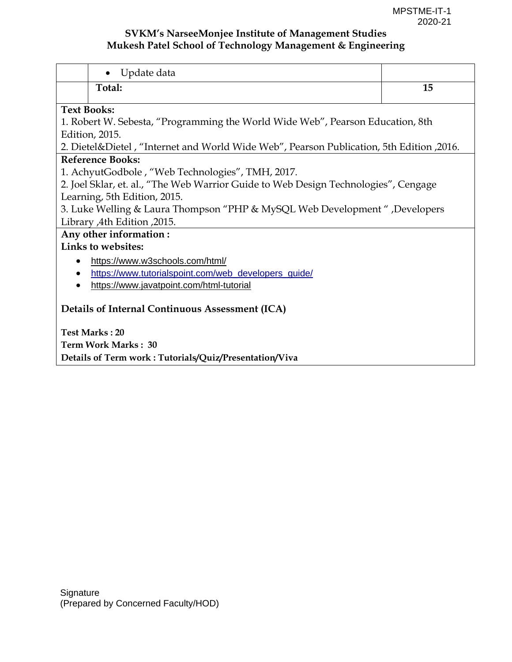| Update data<br>$\bullet$                                                                       |    |  |  |  |  |
|------------------------------------------------------------------------------------------------|----|--|--|--|--|
| Total:                                                                                         | 15 |  |  |  |  |
| <b>Text Books:</b>                                                                             |    |  |  |  |  |
| 1. Robert W. Sebesta, "Programming the World Wide Web", Pearson Education, 8th                 |    |  |  |  |  |
| Edition, 2015.                                                                                 |    |  |  |  |  |
| 2016, 2016. 2. Dietel&Dietel , "Internet and World Wide Web", Pearson Publication, 5th Edition |    |  |  |  |  |
| <b>Reference Books:</b>                                                                        |    |  |  |  |  |
| 1. AchyutGodbole, "Web Technologies", TMH, 2017.                                               |    |  |  |  |  |
| 2. Joel Sklar, et. al., "The Web Warrior Guide to Web Design Technologies", Cengage            |    |  |  |  |  |
| Learning, 5th Edition, 2015.                                                                   |    |  |  |  |  |
| 3. Luke Welling & Laura Thompson "PHP & MySQL Web Development", Developers                     |    |  |  |  |  |
| Library ,4th Edition ,2015.                                                                    |    |  |  |  |  |
| Any other information:                                                                         |    |  |  |  |  |
| Links to websites:                                                                             |    |  |  |  |  |
| https://www.w3schools.com/html/                                                                |    |  |  |  |  |
| https://www.tutorialspoint.com/web_developers_quide/<br>٠                                      |    |  |  |  |  |
| https://www.javatpoint.com/html-tutorial                                                       |    |  |  |  |  |
|                                                                                                |    |  |  |  |  |
| Details of Internal Continuous Assessment (ICA)                                                |    |  |  |  |  |
|                                                                                                |    |  |  |  |  |
| <b>Test Marks: 20</b>                                                                          |    |  |  |  |  |
| Term Work Marks: 30                                                                            |    |  |  |  |  |
| Details of Term work: Tutorials/Quiz/Presentation/Viva                                         |    |  |  |  |  |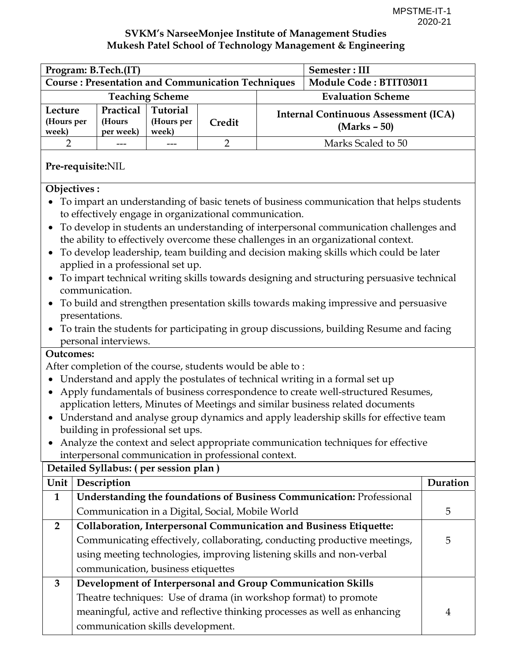4

### **SVKM's NarseeMonjee Institute of Management Studies Mukesh Patel School of Technology Management & Engineering**

| Program: B.Tech.(IT)<br>Semester: III                                                                                                                                                                                                                                                                                                                                                                                                                                                                                                                                                                                                                                                                                                                                                                                      |                                                          |                                 |                |                                                               |                                                                                                                                                                                                                          |          |
|----------------------------------------------------------------------------------------------------------------------------------------------------------------------------------------------------------------------------------------------------------------------------------------------------------------------------------------------------------------------------------------------------------------------------------------------------------------------------------------------------------------------------------------------------------------------------------------------------------------------------------------------------------------------------------------------------------------------------------------------------------------------------------------------------------------------------|----------------------------------------------------------|---------------------------------|----------------|---------------------------------------------------------------|--------------------------------------------------------------------------------------------------------------------------------------------------------------------------------------------------------------------------|----------|
|                                                                                                                                                                                                                                                                                                                                                                                                                                                                                                                                                                                                                                                                                                                                                                                                                            | <b>Course: Presentation and Communication Techniques</b> |                                 |                |                                                               | <b>Module Code: BTIT03011</b>                                                                                                                                                                                            |          |
| <b>Teaching Scheme</b><br><b>Evaluation Scheme</b>                                                                                                                                                                                                                                                                                                                                                                                                                                                                                                                                                                                                                                                                                                                                                                         |                                                          |                                 |                |                                                               |                                                                                                                                                                                                                          |          |
| Lecture<br>(Hours per<br>week)                                                                                                                                                                                                                                                                                                                                                                                                                                                                                                                                                                                                                                                                                                                                                                                             | Practical<br>(Hours<br>per week)                         | Tutorial<br>(Hours per<br>week) | Credit         | <b>Internal Continuous Assessment (ICA)</b><br>$(Marks - 50)$ |                                                                                                                                                                                                                          |          |
| 2                                                                                                                                                                                                                                                                                                                                                                                                                                                                                                                                                                                                                                                                                                                                                                                                                          |                                                          |                                 | $\overline{2}$ |                                                               | Marks Scaled to 50                                                                                                                                                                                                       |          |
|                                                                                                                                                                                                                                                                                                                                                                                                                                                                                                                                                                                                                                                                                                                                                                                                                            | Pre-requisite:NIL                                        |                                 |                |                                                               |                                                                                                                                                                                                                          |          |
| Objectives:<br>To impart an understanding of basic tenets of business communication that helps students<br>to effectively engage in organizational communication.<br>To develop in students an understanding of interpersonal communication challenges and<br>the ability to effectively overcome these challenges in an organizational context.<br>To develop leadership, team building and decision making skills which could be later<br>applied in a professional set up.<br>To impart technical writing skills towards designing and structuring persuasive technical<br>communication.<br>To build and strengthen presentation skills towards making impressive and persuasive<br>presentations.<br>To train the students for participating in group discussions, building Resume and facing<br>personal interviews. |                                                          |                                 |                |                                                               |                                                                                                                                                                                                                          |          |
| <b>Outcomes:</b><br>After completion of the course, students would be able to:<br>Understand and apply the postulates of technical writing in a formal set up<br>Apply fundamentals of business correspondence to create well-structured Resumes,<br>application letters, Minutes of Meetings and similar business related documents<br>• Understand and analyse group dynamics and apply leadership skills for effective team<br>building in professional set ups.<br>Analyze the context and select appropriate communication techniques for effective<br>interpersonal communication in professional context.<br>Detailed Syllabus: (per session plan)                                                                                                                                                                  |                                                          |                                 |                |                                                               |                                                                                                                                                                                                                          |          |
| Unit                                                                                                                                                                                                                                                                                                                                                                                                                                                                                                                                                                                                                                                                                                                                                                                                                       | Description                                              |                                 |                |                                                               |                                                                                                                                                                                                                          | Duration |
| $\mathbf{1}$                                                                                                                                                                                                                                                                                                                                                                                                                                                                                                                                                                                                                                                                                                                                                                                                               |                                                          |                                 |                |                                                               | Understanding the foundations of Business Communication: Professional                                                                                                                                                    |          |
|                                                                                                                                                                                                                                                                                                                                                                                                                                                                                                                                                                                                                                                                                                                                                                                                                            | Communication in a Digital, Social, Mobile World         |                                 |                |                                                               |                                                                                                                                                                                                                          | 5        |
| $\overline{2}$                                                                                                                                                                                                                                                                                                                                                                                                                                                                                                                                                                                                                                                                                                                                                                                                             | communication, business etiquettes                       |                                 |                |                                                               | Collaboration, Interpersonal Communication and Business Etiquette:<br>Communicating effectively, collaborating, conducting productive meetings,<br>using meeting technologies, improving listening skills and non-verbal | 5        |
| 3                                                                                                                                                                                                                                                                                                                                                                                                                                                                                                                                                                                                                                                                                                                                                                                                                          |                                                          |                                 |                |                                                               | Development of Interpersonal and Group Communication Skills<br>Theatre techniques: Use of drama (in workshop format) to promote                                                                                          |          |

meaningful, active and reflective thinking processes as well as enhancing

communication skills development.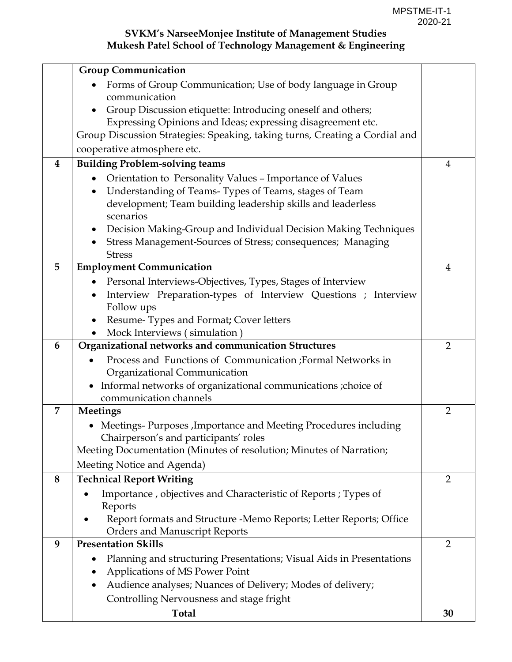|          | <b>Group Communication</b>                                                                     |                |
|----------|------------------------------------------------------------------------------------------------|----------------|
|          | Forms of Group Communication; Use of body language in Group                                    |                |
|          | communication                                                                                  |                |
|          | Group Discussion etiquette: Introducing oneself and others;                                    |                |
|          | Expressing Opinions and Ideas; expressing disagreement etc.                                    |                |
|          | Group Discussion Strategies: Speaking, taking turns, Creating a Cordial and                    |                |
|          | cooperative atmosphere etc.                                                                    |                |
| $\bf{4}$ | <b>Building Problem-solving teams</b>                                                          | 4              |
|          | Orientation to Personality Values - Importance of Values<br>$\bullet$                          |                |
|          | Understanding of Teams-Types of Teams, stages of Team                                          |                |
|          | development; Team building leadership skills and leaderless<br>scenarios                       |                |
|          | Decision Making-Group and Individual Decision Making Techniques<br>$\bullet$                   |                |
|          | Stress Management-Sources of Stress; consequences; Managing                                    |                |
|          | <b>Stress</b>                                                                                  |                |
| 5        | <b>Employment Communication</b>                                                                | 4              |
|          | Personal Interviews-Objectives, Types, Stages of Interview                                     |                |
|          | Interview Preparation-types of Interview Questions ; Interview<br>$\bullet$                    |                |
|          | Follow ups                                                                                     |                |
|          | Resume-Types and Format; Cover letters                                                         |                |
|          | Mock Interviews (simulation)                                                                   |                |
| 6        | Organizational networks and communication Structures                                           | $\overline{2}$ |
|          | Process and Functions of Communication ;Formal Networks in                                     |                |
|          | Organizational Communication<br>Informal networks of organizational communications ; choice of |                |
|          | communication channels                                                                         |                |
| 7        | Meetings                                                                                       | $\overline{2}$ |
|          | • Meetings-Purposes, Importance and Meeting Procedures including                               |                |
|          | Chairperson's and participants' roles                                                          |                |
|          | Meeting Documentation (Minutes of resolution; Minutes of Narration;                            |                |
|          | Meeting Notice and Agenda)                                                                     |                |
| 8        | <b>Technical Report Writing</b>                                                                | $\overline{2}$ |
|          | Importance, objectives and Characteristic of Reports; Types of                                 |                |
|          | Reports                                                                                        |                |
|          | Report formats and Structure -Memo Reports; Letter Reports; Office                             |                |
|          | <b>Orders and Manuscript Reports</b>                                                           |                |
| 9        | <b>Presentation Skills</b>                                                                     | $\overline{2}$ |
|          | Planning and structuring Presentations; Visual Aids in Presentations                           |                |
|          | Applications of MS Power Point                                                                 |                |
|          | Audience analyses; Nuances of Delivery; Modes of delivery;                                     |                |
|          | Controlling Nervousness and stage fright                                                       |                |
|          | <b>Total</b>                                                                                   | 30             |